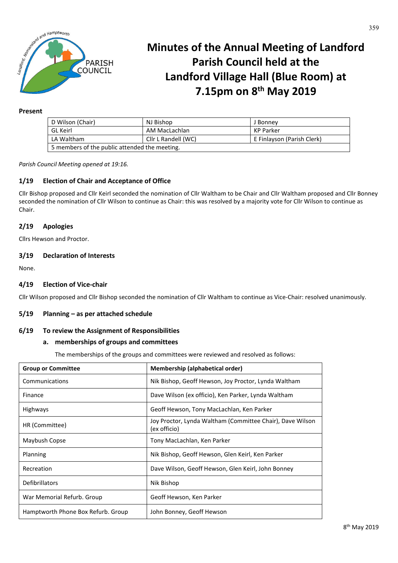

# **Minutes of the Annual Meeting of Landford Parish Council held at the Landford Village Hall (Blue Room) at 7.15pm on 8th May 2019**

#### **Present**

| D Wilson (Chair)                              | NJ Bishop           | J Bonney                   |  |  |  |
|-----------------------------------------------|---------------------|----------------------------|--|--|--|
| <b>GL</b> Keirl                               | AM MacLachlan       | KP Parker                  |  |  |  |
| LA Waltham                                    | Cllr L Randell (WC) | E Finlayson (Parish Clerk) |  |  |  |
| 5 members of the public attended the meeting. |                     |                            |  |  |  |

*Parish Council Meeting opened at 19:16.*

# **1/19 Election of Chair and Acceptance of Office**

Cllr Bishop proposed and Cllr Keirl seconded the nomination of Cllr Waltham to be Chair and Cllr Waltham proposed and Cllr Bonney seconded the nomination of Cllr Wilson to continue as Chair: this was resolved by a majority vote for Cllr Wilson to continue as Chair.

## **2/19 Apologies**

Cllrs Hewson and Proctor.

## **3/19 Declaration of Interests**

None.

## **4/19 Election of Vice-chair**

Cllr Wilson proposed and Cllr Bishop seconded the nomination of Cllr Waltham to continue as Vice-Chair: resolved unanimously.

#### **5/19 Planning – as per attached schedule**

#### **6/19 To review the Assignment of Responsibilities**

## **a. memberships of groups and committees**

The memberships of the groups and committees were reviewed and resolved as follows:

| <b>Group or Committee</b>          | Membership (alphabetical order)                                           |  |  |
|------------------------------------|---------------------------------------------------------------------------|--|--|
| Communications                     | Nik Bishop, Geoff Hewson, Joy Proctor, Lynda Waltham                      |  |  |
| Finance                            | Dave Wilson (ex officio), Ken Parker, Lynda Waltham                       |  |  |
| Highways                           | Geoff Hewson, Tony MacLachlan, Ken Parker                                 |  |  |
| HR (Committee)                     | Joy Proctor, Lynda Waltham (Committee Chair), Dave Wilson<br>(ex officio) |  |  |
| Maybush Copse                      | Tony MacLachlan, Ken Parker                                               |  |  |
| Planning                           | Nik Bishop, Geoff Hewson, Glen Keirl, Ken Parker                          |  |  |
| Recreation                         | Dave Wilson, Geoff Hewson, Glen Keirl, John Bonney                        |  |  |
| Defibrillators                     | Nik Bishop                                                                |  |  |
| War Memorial Refurb. Group         | Geoff Hewson, Ken Parker                                                  |  |  |
| Hamptworth Phone Box Refurb. Group | John Bonney, Geoff Hewson                                                 |  |  |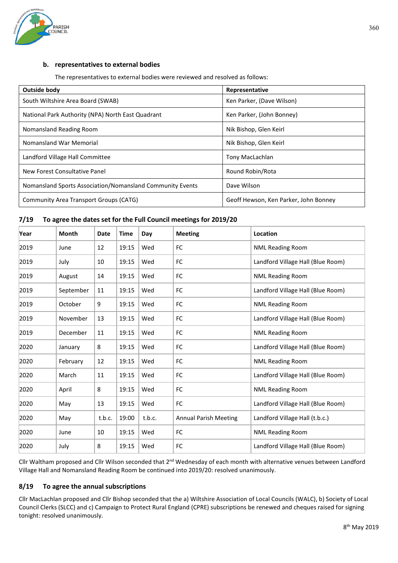

# **b. representatives to external bodies**

The representatives to external bodies were reviewed and resolved as follows:

| Outside body                                              | Representative                        |  |
|-----------------------------------------------------------|---------------------------------------|--|
| South Wiltshire Area Board (SWAB)                         | Ken Parker, (Dave Wilson)             |  |
| National Park Authority (NPA) North East Quadrant         | Ken Parker, (John Bonney)             |  |
| Nomansland Reading Room                                   | Nik Bishop, Glen Keirl                |  |
| Nomansland War Memorial                                   | Nik Bishop, Glen Keirl                |  |
| Landford Village Hall Committee                           | Tony MacLachlan                       |  |
| New Forest Consultative Panel                             | Round Robin/Rota                      |  |
| Nomansland Sports Association/Nomansland Community Events | Dave Wilson                           |  |
| Community Area Transport Groups (CATG)                    | Geoff Hewson, Ken Parker, John Bonney |  |

## **7/19 To agree the dates set for the Full Council meetings for 2019/20**

| Year | <b>Month</b> | Date   | <b>Time</b> | Day    | <b>Meeting</b>               | Location                          |
|------|--------------|--------|-------------|--------|------------------------------|-----------------------------------|
| 2019 | June         | 12     | 19:15       | Wed    | FC                           | <b>NML Reading Room</b>           |
| 2019 | July         | 10     | 19:15       | Wed    | <b>FC</b>                    | Landford Village Hall (Blue Room) |
| 2019 | August       | 14     | 19:15       | Wed    | FC                           | <b>NML Reading Room</b>           |
| 2019 | September    | 11     | 19:15       | Wed    | FC                           | Landford Village Hall (Blue Room) |
| 2019 | October      | 9      | 19:15       | Wed    | FC                           | <b>NML Reading Room</b>           |
| 2019 | November     | 13     | 19:15       | Wed    | FC                           | Landford Village Hall (Blue Room) |
| 2019 | December     | 11     | 19:15       | Wed    | FC                           | <b>NML Reading Room</b>           |
| 2020 | January      | 8      | 19:15       | Wed    | FC                           | Landford Village Hall (Blue Room) |
| 2020 | February     | 12     | 19:15       | Wed    | FC                           | <b>NML Reading Room</b>           |
| 2020 | March        | 11     | 19:15       | Wed    | FC                           | Landford Village Hall (Blue Room) |
| 2020 | April        | 8      | 19:15       | Wed    | FC                           | <b>NML Reading Room</b>           |
| 2020 | May          | 13     | 19:15       | Wed    | FC                           | Landford Village Hall (Blue Room) |
| 2020 | May          | t.b.c. | 19:00       | t.b.c. | <b>Annual Parish Meeting</b> | Landford Village Hall (t.b.c.)    |
| 2020 | June         | 10     | 19:15       | Wed    | FC                           | <b>NML Reading Room</b>           |
| 2020 | July         | 8      | 19:15       | Wed    | FC                           | Landford Village Hall (Blue Room) |

Cllr Waltham proposed and Cllr Wilson seconded that 2<sup>nd</sup> Wednesday of each month with alternative venues between Landford Village Hall and Nomansland Reading Room be continued into 2019/20: resolved unanimously.

## **8/19 To agree the annual subscriptions**

Cllr MacLachlan proposed and Cllr Bishop seconded that the a) Wiltshire Association of Local Councils (WALC), b) Society of Local Council Clerks (SLCC) and c) Campaign to Protect Rural England (CPRE) subscriptions be renewed and cheques raised for signing tonight: resolved unanimously.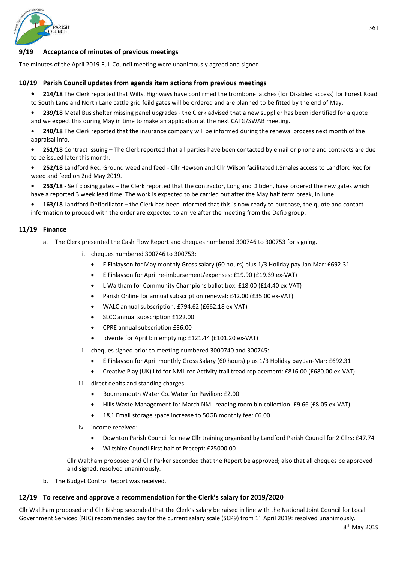

## **9/19 Acceptance of minutes of previous meetings**

The minutes of the April 2019 Full Council meeting were unanimously agreed and signed.

## **10/19 Parish Council updates from agenda item actions from previous meetings**

**• 214/18** The Clerk reported that Wilts. Highways have confirmed the trombone latches (for Disabled access) for Forest Road to South Lane and North Lane cattle grid feild gates will be ordered and are planned to be fitted by the end of May.

**• 239/18** Metal Bus shelter missing panel upgrades - the Clerk advised that a new supplier has been identified for a quote and we expect this during May in time to make an application at the next CATG/SWAB meeting.

**• 240/18** The Clerk reported that the insurance company will be informed during the renewal process next month of the appraisal info.

**• 251/18** Contract issuing – The Clerk reported that all parties have been contacted by email or phone and contracts are due to be issued later this month.

**• 252/18** Landford Rec. Ground weed and feed - Cllr Hewson and Cllr Wilson facilitated J.Smales access to Landford Rec for weed and feed on 2nd May 2019.

**• 253/18** - Self closing gates – the Clerk reported that the contractor, Long and Dibden, have ordered the new gates which have a reported 3 week lead time. The work is expected to be carried out after the May half term break, in June.

**• 163/18** Landford Defibrillator – the Clerk has been informed that this is now ready to purchase, the quote and contact information to proceed with the order are expected to arrive after the meeting from the Defib group.

## **11/19 Finance**

- a. The Clerk presented the Cash Flow Report and cheques numbered 300746 to 300753 for signing.
	- i. cheques numbered 300746 to 300753:
		- E Finlayson for May monthly Gross salary (60 hours) plus 1/3 Holiday pay Jan-Mar: £692.31
		- E Finlayson for April re-imbursement/expenses: £19.90 (£19.39 ex-VAT)
		- L Waltham for Community Champions ballot box: £18.00 (£14.40 ex-VAT)
		- Parish Online for annual subscription renewal: £42.00 (£35.00 ex-VAT)
		- WALC annual subscription: £794.62 (£662.18 ex-VAT)
		- SLCC annual subscription £122.00
		- CPRE annual subscription £36.00
		- Idverde for April bin emptying: £121.44 (£101.20 ex-VAT)
	- ii. cheques signed prior to meeting numbered 3000740 and 300745:
		- E Finlayson for April monthly Gross Salary (60 hours) plus 1/3 Holiday pay Jan-Mar: £692.31
		- Creative Play (UK) Ltd for NML rec Activity trail tread replacement: £816.00 (£680.00 ex-VAT)
	- iii. direct debits and standing charges:
		- Bournemouth Water Co. Water for Pavilion: £2.00
		- Hills Waste Management for March NML reading room bin collection: £9.66 (£8.05 ex-VAT)
		- 1&1 Email storage space increase to 50GB monthly fee: £6.00
	- iv. income received:
		- Downton Parish Council for new Cllr training organised by Landford Parish Council for 2 Cllrs: £47.74
		- Wiltshire Council First half of Precept: £25000.00

Cllr Waltham proposed and Cllr Parker seconded that the Report be approved; also that all cheques be approved and signed: resolved unanimously.

b. The Budget Control Report was received.

#### **12/19 To receive and approve a recommendation for the Clerk's salary for 2019/2020**

Cllr Waltham proposed and Cllr Bishop seconded that the Clerk's salary be raised in line with the National Joint Council for Local Government Serviced (NJC) recommended pay for the current salary scale (SCP9) from 1st April 2019: resolved unanimously.

361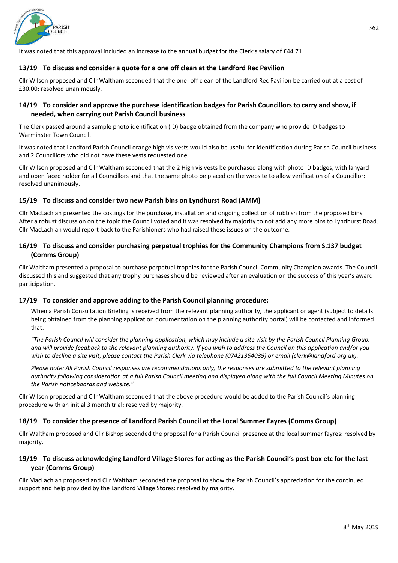

It was noted that this approval included an increase to the annual budget for the Clerk's salary of £44.71

## **13/19 To discuss and consider a quote for a one off clean at the Landford Rec Pavilion**

Cllr Wilson proposed and Cllr Waltham seconded that the one -off clean of the Landford Rec Pavilion be carried out at a cost of £30.00: resolved unanimously.

## **14/19 To consider and approve the purchase identification badges for Parish Councillors to carry and show, if needed, when carrying out Parish Council business**

The Clerk passed around a sample photo identification (ID) badge obtained from the company who provide ID badges to Warminster Town Council.

It was noted that Landford Parish Council orange high vis vests would also be useful for identification during Parish Council business and 2 Councillors who did not have these vests requested one.

Cllr Wilson proposed and Cllr Waltham seconded that the 2 High vis vests be purchased along with photo ID badges, with lanyard and open faced holder for all Councillors and that the same photo be placed on the website to allow verification of a Councillor: resolved unanimously.

## **15/19 To discuss and consider two new Parish bins on Lyndhurst Road (AMM)**

Cllr MacLachlan presented the costings for the purchase, installation and ongoing collection of rubbish from the proposed bins. After a robust discussion on the topic the Council voted and it was resolved by majority to not add any more bins to Lyndhurst Road. Cllr MacLachlan would report back to the Parishioners who had raised these issues on the outcome.

# **16/19 To discuss and consider purchasing perpetual trophies for the Community Champions from S.137 budget (Comms Group)**

Cllr Waltham presented a proposal to purchase perpetual trophies for the Parish Council Community Champion awards. The Council discussed this and suggested that any trophy purchases should be reviewed after an evaluation on the success of this year's award participation.

## **17/19 To consider and approve adding to the Parish Council planning procedure:**

When a Parish Consultation Briefing is received from the relevant planning authority, the applicant or agent (subject to details being obtained from the planning application documentation on the planning authority portal) will be contacted and informed that:

*"The Parish Council will consider the planning application, which may include a site visit by the Parish Council Planning Group, and will provide feedback to the relevant planning authority. If you wish to address the Council on this application and/or you wish to decline a site visit, please contact the Parish Clerk via telephone (07421354039) or email (clerk@landford.org.uk).* 

*Please note: All Parish Council responses are recommendations only, the responses are submitted to the relevant planning authority following consideration at a full Parish Council meeting and displayed along with the full Council Meeting Minutes on the Parish noticeboards and website."*

Cllr Wilson proposed and Cllr Waltham seconded that the above procedure would be added to the Parish Council's planning procedure with an initial 3 month trial: resolved by majority.

## **18/19 To consider the presence of Landford Parish Council at the Local Summer Fayres (Comms Group)**

Cllr Waltham proposed and Cllr Bishop seconded the proposal for a Parish Council presence at the local summer fayres: resolved by majority.

## **19/19 To discuss acknowledging Landford Village Stores for acting as the Parish Council's post box etc for the last year (Comms Group)**

Cllr MacLachlan proposed and Cllr Waltham seconded the proposal to show the Parish Council's appreciation for the continued support and help provided by the Landford Village Stores: resolved by majority.